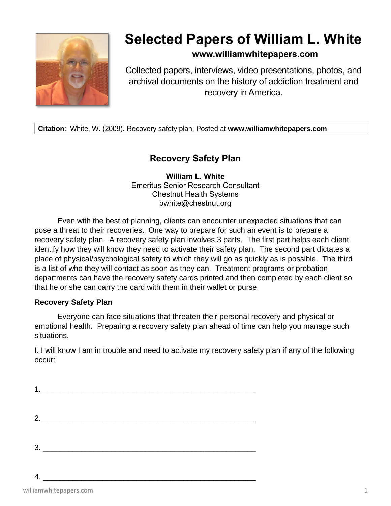

## **Selected Papers of William L. White**

## **www.williamwhitepapers.com**

Collected papers, interviews, video presentations, photos, and archival documents on the history of addiction treatment and recovery in America.

**Citation**: White, W. (2009). Recovery safety plan. Posted at **www.williamwhitepapers.com**

## **Recovery Safety Plan**

**William L. White** Emeritus Senior Research Consultant Chestnut Health Systems bwhite@chestnut.org

Even with the best of planning, clients can encounter unexpected situations that can pose a threat to their recoveries. One way to prepare for such an event is to prepare a recovery safety plan. A recovery safety plan involves 3 parts. The first part helps each client identify how they will know they need to activate their safety plan. The second part dictates a place of physical/psychological safety to which they will go as quickly as is possible. The third is a list of who they will contact as soon as they can. Treatment programs or probation departments can have the recovery safety cards printed and then completed by each client so that he or she can carry the card with them in their wallet or purse.

## **Recovery Safety Plan**

Everyone can face situations that threaten their personal recovery and physical or emotional health. Preparing a recovery safety plan ahead of time can help you manage such situations.

I. I will know I am in trouble and need to activate my recovery safety plan if any of the following occur:

| 2. $\qquad \qquad$ |  |
|--------------------|--|
|                    |  |
|                    |  |
| 3.                 |  |
|                    |  |
|                    |  |